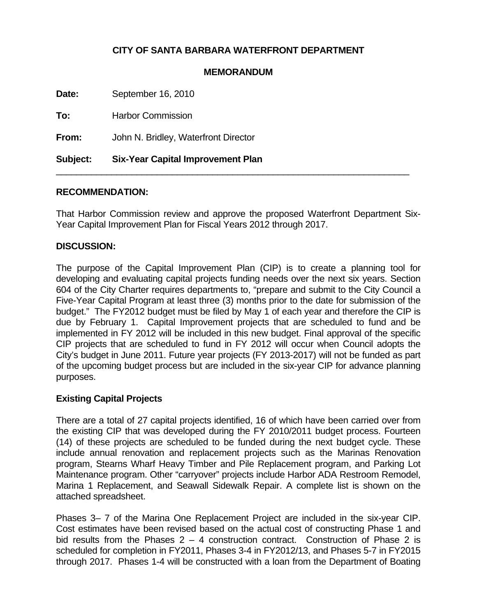# **CITY OF SANTA BARBARA WATERFRONT DEPARTMENT**

### **MEMORANDUM**

**Date:** September 16, 2010 **To:** Harbor Commission **From:** John N. Bridley, Waterfront Director

**Subject: Six-Year Capital Improvement Plan** 

## **RECOMMENDATION:**

That Harbor Commission review and approve the proposed Waterfront Department Six-Year Capital Improvement Plan for Fiscal Years 2012 through 2017.

\_\_\_\_\_\_\_\_\_\_\_\_\_\_\_\_\_\_\_\_\_\_\_\_\_\_\_\_\_\_\_\_\_\_\_\_\_\_\_\_\_\_\_\_\_\_\_\_\_\_\_\_\_\_\_\_\_\_\_\_\_\_\_\_\_\_\_\_\_\_

#### **DISCUSSION:**

The purpose of the Capital Improvement Plan (CIP) is to create a planning tool for developing and evaluating capital projects funding needs over the next six years. Section 604 of the City Charter requires departments to, "prepare and submit to the City Council a Five-Year Capital Program at least three (3) months prior to the date for submission of the budget." The FY2012 budget must be filed by May 1 of each year and therefore the CIP is due by February 1. Capital Improvement projects that are scheduled to fund and be implemented in FY 2012 will be included in this new budget. Final approval of the specific CIP projects that are scheduled to fund in FY 2012 will occur when Council adopts the City's budget in June 2011. Future year projects (FY 2013-2017) will not be funded as part of the upcoming budget process but are included in the six-year CIP for advance planning purposes.

#### **Existing Capital Projects**

There are a total of 27 capital projects identified, 16 of which have been carried over from the existing CIP that was developed during the FY 2010/2011 budget process. Fourteen (14) of these projects are scheduled to be funded during the next budget cycle. These include annual renovation and replacement projects such as the Marinas Renovation program, Stearns Wharf Heavy Timber and Pile Replacement program, and Parking Lot Maintenance program. Other "carryover" projects include Harbor ADA Restroom Remodel, Marina 1 Replacement, and Seawall Sidewalk Repair. A complete list is shown on the attached spreadsheet.

Phases 3– 7 of the Marina One Replacement Project are included in the six-year CIP. Cost estimates have been revised based on the actual cost of constructing Phase 1 and bid results from the Phases  $2 - 4$  construction contract. Construction of Phase 2 is scheduled for completion in FY2011, Phases 3-4 in FY2012/13, and Phases 5-7 in FY2015 through 2017. Phases 1-4 will be constructed with a loan from the Department of Boating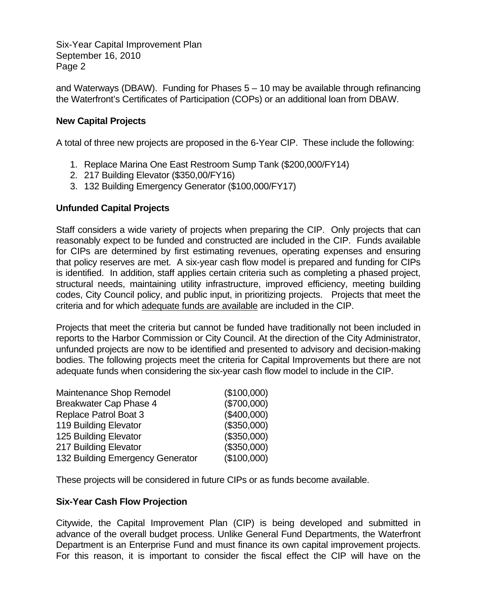Six-Year Capital Improvement Plan September 16, 2010 Page 2

and Waterways (DBAW). Funding for Phases  $5 - 10$  may be available through refinancing the Waterfront's Certificates of Participation (COPs) or an additional loan from DBAW.

## **New Capital Projects**

A total of three new projects are proposed in the 6-Year CIP. These include the following:

- 1. Replace Marina One East Restroom Sump Tank (\$200,000/FY14)
- 2. 217 Building Elevator (\$350,00/FY16)
- 3. 132 Building Emergency Generator (\$100,000/FY17)

## **Unfunded Capital Projects**

Staff considers a wide variety of projects when preparing the CIP. Only projects that can reasonably expect to be funded and constructed are included in the CIP. Funds available for CIPs are determined by first estimating revenues, operating expenses and ensuring that policy reserves are met. A six-year cash flow model is prepared and funding for CIPs is identified. In addition, staff applies certain criteria such as completing a phased project, structural needs, maintaining utility infrastructure, improved efficiency, meeting building codes, City Council policy, and public input, in prioritizing projects. Projects that meet the criteria and for which adequate funds are available are included in the CIP.

Projects that meet the criteria but cannot be funded have traditionally not been included in reports to the Harbor Commission or City Council. At the direction of the City Administrator, unfunded projects are now to be identified and presented to advisory and decision-making bodies. The following projects meet the criteria for Capital Improvements but there are not adequate funds when considering the six-year cash flow model to include in the CIP.

| Maintenance Shop Remodel         | (\$100,000) |
|----------------------------------|-------------|
| <b>Breakwater Cap Phase 4</b>    | (\$700,000) |
| <b>Replace Patrol Boat 3</b>     | (\$400,000) |
| 119 Building Elevator            | (\$350,000) |
| 125 Building Elevator            | (\$350,000) |
| 217 Building Elevator            | (\$350,000) |
| 132 Building Emergency Generator | (\$100,000) |

These projects will be considered in future CIPs or as funds become available.

## **Six-Year Cash Flow Projection**

Citywide, the Capital Improvement Plan (CIP) is being developed and submitted in advance of the overall budget process. Unlike General Fund Departments, the Waterfront Department is an Enterprise Fund and must finance its own capital improvement projects. For this reason, it is important to consider the fiscal effect the CIP will have on the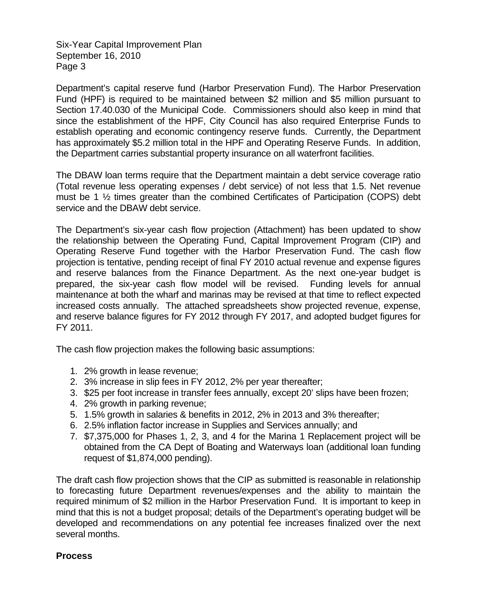Six-Year Capital Improvement Plan September 16, 2010 Page 3

Department's capital reserve fund (Harbor Preservation Fund). The Harbor Preservation Fund (HPF) is required to be maintained between \$2 million and \$5 million pursuant to Section 17.40.030 of the Municipal Code. Commissioners should also keep in mind that since the establishment of the HPF, City Council has also required Enterprise Funds to establish operating and economic contingency reserve funds. Currently, the Department has approximately \$5.2 million total in the HPF and Operating Reserve Funds. In addition, the Department carries substantial property insurance on all waterfront facilities.

The DBAW loan terms require that the Department maintain a debt service coverage ratio (Total revenue less operating expenses / debt service) of not less that 1.5. Net revenue must be 1 ½ times greater than the combined Certificates of Participation (COPS) debt service and the DBAW debt service.

The Department's six-year cash flow projection (Attachment) has been updated to show the relationship between the Operating Fund, Capital Improvement Program (CIP) and Operating Reserve Fund together with the Harbor Preservation Fund. The cash flow projection is tentative, pending receipt of final FY 2010 actual revenue and expense figures and reserve balances from the Finance Department. As the next one-year budget is prepared, the six-year cash flow model will be revised. Funding levels for annual maintenance at both the wharf and marinas may be revised at that time to reflect expected increased costs annually. The attached spreadsheets show projected revenue, expense, and reserve balance figures for FY 2012 through FY 2017, and adopted budget figures for FY 2011.

The cash flow projection makes the following basic assumptions:

- 1. 2% growth in lease revenue;
- 2. 3% increase in slip fees in FY 2012, 2% per year thereafter;
- 3. \$25 per foot increase in transfer fees annually, except 20' slips have been frozen;
- 4. 2% growth in parking revenue;
- 5. 1.5% growth in salaries & benefits in 2012, 2% in 2013 and 3% thereafter;
- 6. 2.5% inflation factor increase in Supplies and Services annually; and
- 7. \$7,375,000 for Phases 1, 2, 3, and 4 for the Marina 1 Replacement project will be obtained from the CA Dept of Boating and Waterways loan (additional loan funding request of \$1,874,000 pending).

The draft cash flow projection shows that the CIP as submitted is reasonable in relationship to forecasting future Department revenues/expenses and the ability to maintain the required minimum of \$2 million in the Harbor Preservation Fund. It is important to keep in mind that this is not a budget proposal; details of the Department's operating budget will be developed and recommendations on any potential fee increases finalized over the next several months.

## **Process**